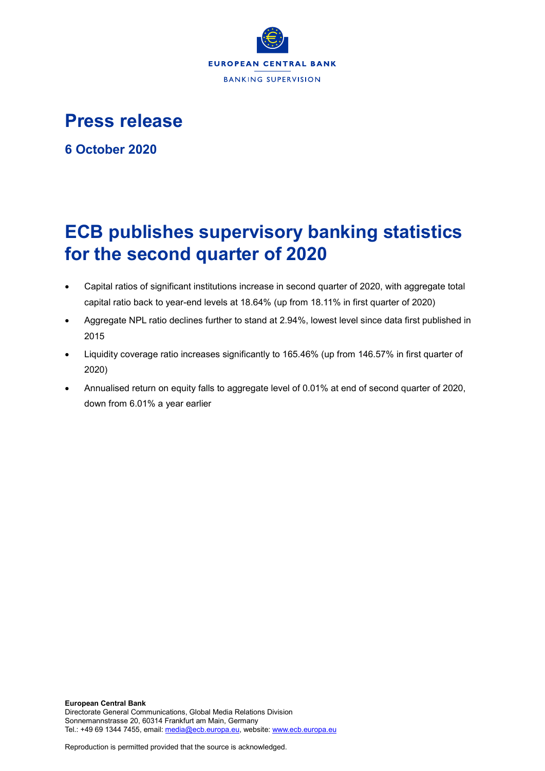

# **Press release**

**6 October 2020**

# **ECB publishes supervisory banking statistics for the second quarter of 2020**

- Capital ratios of significant institutions increase in second quarter of 2020, with aggregate total capital ratio back to year-end levels at 18.64% (up from 18.11% in first quarter of 2020)
- Aggregate NPL ratio declines further to stand at 2.94%, lowest level since data first published in 2015
- Liquidity coverage ratio increases significantly to 165.46% (up from 146.57% in first quarter of 2020)
- Annualised return on equity falls to aggregate level of 0.01% at end of second quarter of 2020, down from 6.01% a year earlier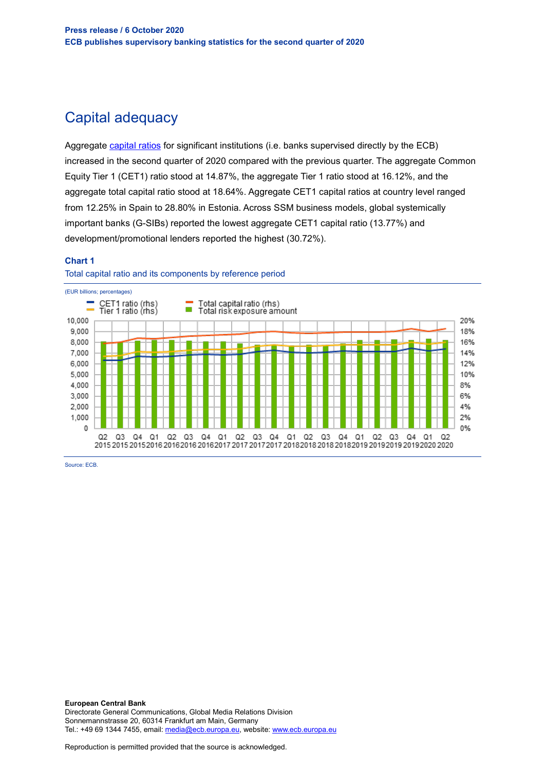# Capital adequacy

Aggregate [capital ratios](https://sdw.ecb.europa.eu/browseSelection.do?type=series&q=SUP.Q.B01.W0._Z.I4001._T._Z._Z._Z._Z.PCT.C%2cSUP.Q.B01.W0._Z.I4002._T._Z._Z._Z._Z.PCT.C%2cSUP.Q.B01.W0._Z.I4008._T._Z._Z._Z._Z.PCT.C&node=SEARCHRESULTS&ec=&oc=&rc=&cv=&pb=&dc=&df=) for significant institutions (i.e. banks supervised directly by the ECB) increased in the second quarter of 2020 compared with the previous quarter. The aggregate Common Equity Tier 1 (CET1) ratio stood at 14.87%, the aggregate Tier 1 ratio stood at 16.12%, and the aggregate total capital ratio stood at 18.64%. Aggregate CET1 capital ratios at country level ranged from 12.25% in Spain to 28.80% in Estonia. Across SSM business models, global systemically important banks (G-SIBs) reported the lowest aggregate CET1 capital ratio (13.77%) and development/promotional lenders reported the highest (30.72%).

# **Chart 1**



Total capital ratio and its components by reference period

Source: ECB.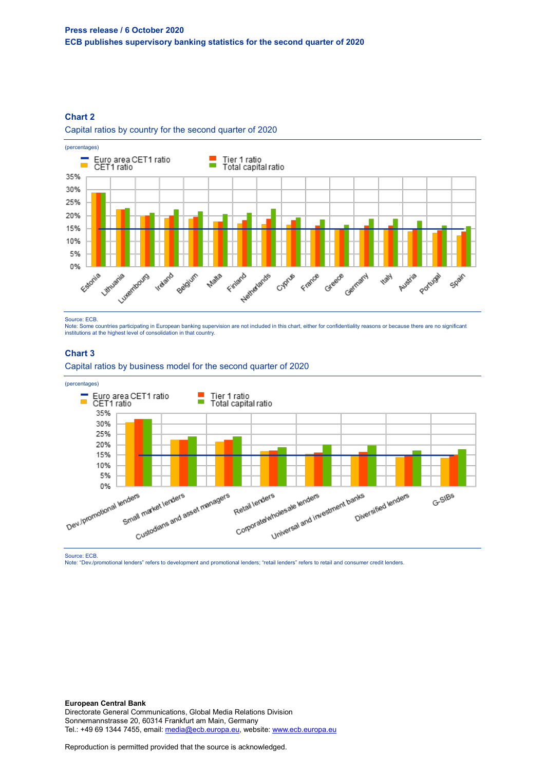# **Chart 2**

#### Capital ratios by country for the second quarter of 2020



Source: ECB.

Note: Some countries participating in European banking supervision are not included in this chart, either for confidentiality reasons or because there are no significant institutions at the highest level of consolidation in that country.

### **Chart 3**

#### Capital ratios by business model for the second quarter of 2020



Source: ECB.

Note: "Dev./promotional lenders" refers to development and promotional lenders; "retail lenders" refers to retail and consumer credit lenders.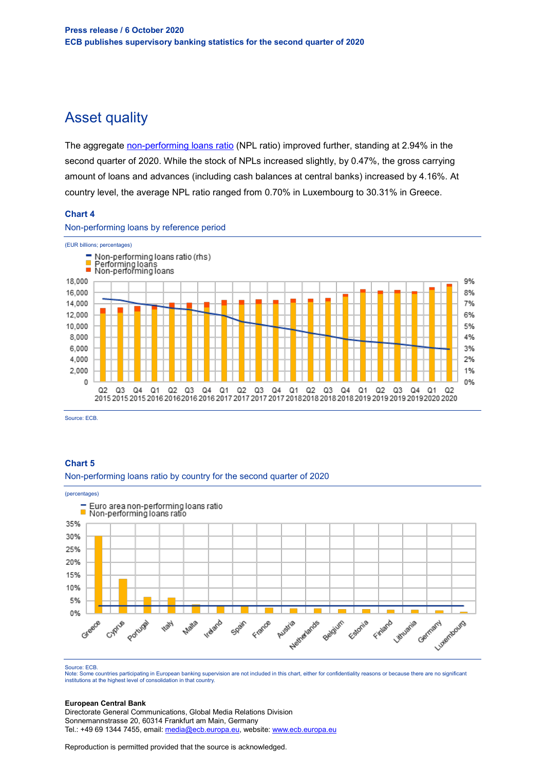# Asset quality

The aggregate [non-performing loans ratio](https://sdw.ecb.europa.eu/browseSelection.do?type=series&q=SUP.Q.B01.W0._Z.I7000._T._Z._Z._Z._Z.PCT.C&node=SEARCHRESULTS&ec=&oc=&rc=&cv=&pb=&dc=&df=) (NPL ratio) improved further, standing at 2.94% in the second quarter of 2020. While the stock of NPLs increased slightly, by 0.47%, the gross carrying amount of loans and advances (including cash balances at central banks) increased by 4.16%. At country level, the average NPL ratio ranged from 0.70% in Luxembourg to 30.31% in Greece.

#### **Chart 4**

#### Non-performing loans by reference period



Source: ECB.

### **Chart 5**



Non-performing loans ratio by country for the second quarter of 2020

Source: ECB.

Note: Some countries participating in European banking supervision are not included in this chart, either for confidentiality reasons or because there are no significant institutions at the highest level of consolidation in that country.

### **European Central Bank**

Directorate General Communications, Global Media Relations Division Sonnemannstrasse 20, 60314 Frankfurt am Main, Germany Tel.: +49 69 1344 7455, email[: media@ecb.europa.eu,](mailto:media@ecb.europa.eu) website[: www.ecb.europa.eu](http://www.ecb.europa.eu/)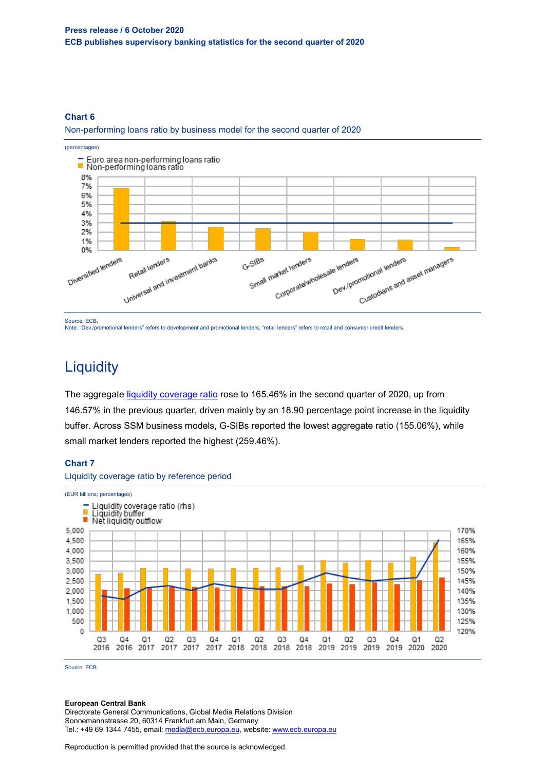### **Press release / 6 October 2020 ECB publishes supervisory banking statistics for the second quarter of 2020**

#### **Chart 6**

Non-performing loans ratio by business model for the second quarter of 2020



Source: ECB.

Note: "Dev./promotional lenders" refers to development and promotional lenders; "retail lenders" refers to retail and consumer credit lenders.

# **Liquidity**

The aggregate [liquidity coverage ratio](https://sdw.ecb.europa.eu/browseSelection.do?type=series&q=SUP.Q.B01.W0._Z.I3017._T._Z._Z._Z._Z.PCT.C&node=SEARCHRESULTS&ec=&oc=&rc=&cv=&pb=&dc=&df=) rose to 165.46% in the second quarter of 2020, up from 146.57% in the previous quarter, driven mainly by an 18.90 percentage point increase in the liquidity buffer. Across SSM business models, G-SIBs reported the lowest aggregate ratio (155.06%), while small market lenders reported the highest (259.46%).

# **Chart 7**





Source: ECB.

#### **European Central Bank**

Directorate General Communications, Global Media Relations Division Sonnemannstrasse 20, 60314 Frankfurt am Main, Germany Tel.: +49 69 1344 7455, email[: media@ecb.europa.eu,](mailto:media@ecb.europa.eu) website[: www.ecb.europa.eu](http://www.ecb.europa.eu/)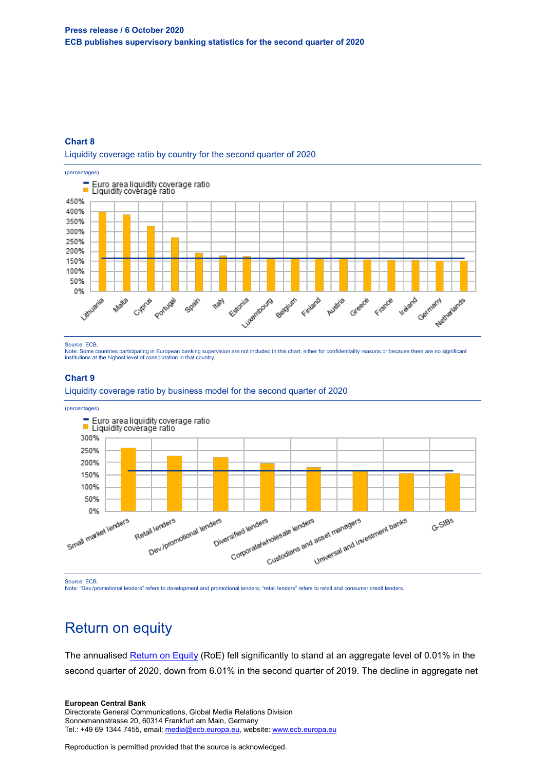### **Chart 8**

Liquidity coverage ratio by country for the second quarter of 2020



Source: ECB

Note: Some countries participating in European banking supervision are not included in this chart, either for confidentiality reasons or because there are no significant<br>institutions at the highest level of consolidation i

#### **Chart 9**

#### Liquidity coverage ratio by business model for the second quarter of 2020

(percentages)



Source: ECB.

Note: "Dev./promotional lenders" refers to development and promotional lenders; "retail lenders" refers to retail and consumer credit lenders.

# Return on equity

The annualised [Return on Equity](https://sdw.ecb.europa.eu/browseSelection.do?type=series&q=SUP.Q.B01.W0._Z.I2003._T._Z._Z._Z._Z.PCT.C&node=SEARCHRESULTS&ec=&oc=&rc=&cv=&pb=&dc=&df=) (RoE) fell significantly to stand at an aggregate level of 0.01% in the second quarter of 2020, down from 6.01% in the second quarter of 2019. The decline in aggregate net

#### **European Central Bank**

Directorate General Communications, Global Media Relations Division Sonnemannstrasse 20, 60314 Frankfurt am Main, Germany Tel.: +49 69 1344 7455, email[: media@ecb.europa.eu,](mailto:media@ecb.europa.eu) website[: www.ecb.europa.eu](http://www.ecb.europa.eu/)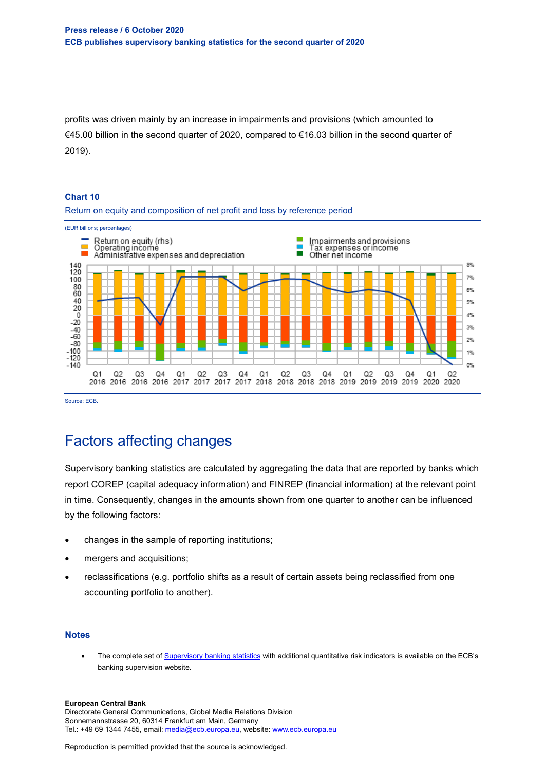profits was driven mainly by an increase in impairments and provisions (which amounted to €45.00 billion in the second quarter of 2020, compared to €16.03 billion in the second quarter of 2019).

### **Chart 10**



Return on equity and composition of net profit and loss by reference period

Source: ECB

# Factors affecting changes

Supervisory banking statistics are calculated by aggregating the data that are reported by banks which report COREP (capital adequacy information) and FINREP (financial information) at the relevant point in time. Consequently, changes in the amounts shown from one quarter to another can be influenced by the following factors:

- changes in the sample of reporting institutions;
- mergers and acquisitions;
- reclassifications (e.g. portfolio shifts as a result of certain assets being reclassified from one accounting portfolio to another).

# **Notes**

The complete set of **Supervisory banking statistics** with additional quantitative risk indicators is available on the ECB's banking supervision website.

#### **European Central Bank**

Directorate General Communications, Global Media Relations Division Sonnemannstrasse 20, 60314 Frankfurt am Main, Germany Tel.: +49 69 1344 7455, email[: media@ecb.europa.eu,](mailto:media@ecb.europa.eu) website[: www.ecb.europa.eu](http://www.ecb.europa.eu/)